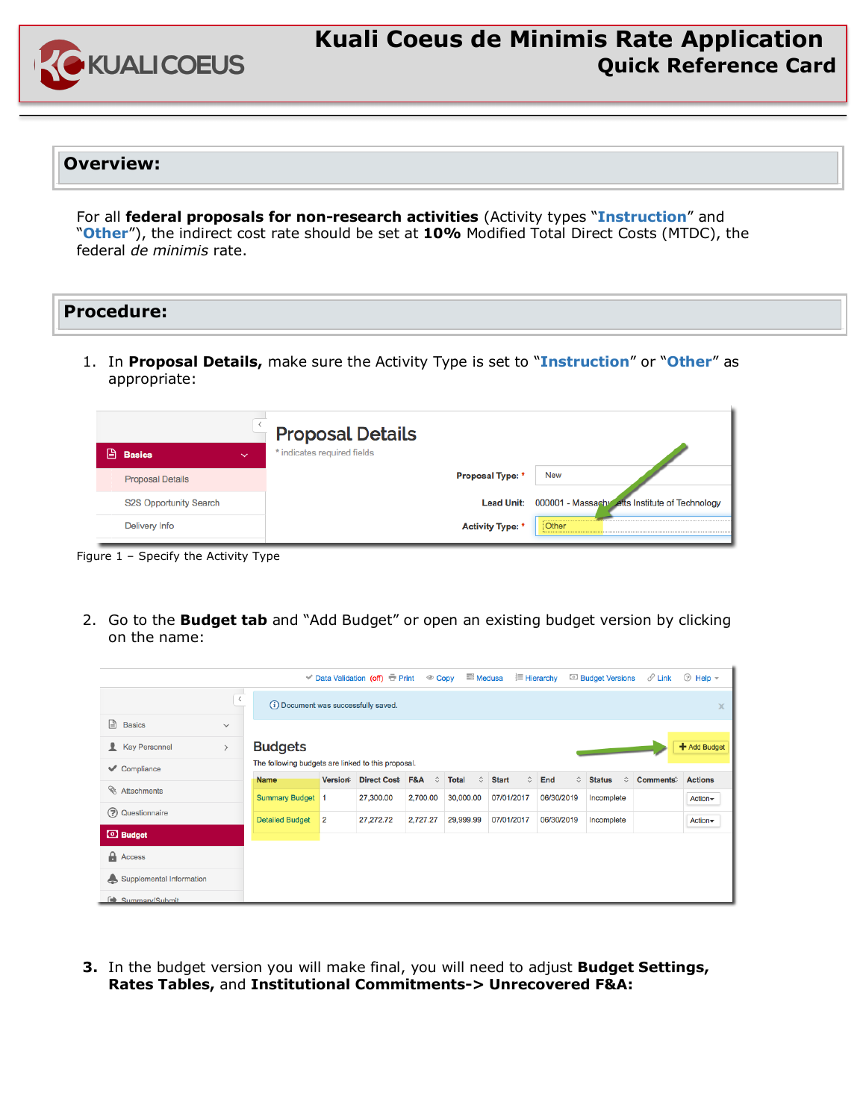

## **Kuali Coeus de Minimis Rate Application Quick Reference Card**

## **Overview:**

For all **federal proposals for non-research activities** (Activity types "**Instruction**" and "**Other**"), the indirect cost rate should be set at **10%** Modified Total Direct Costs (MTDC), the federal *de minimis* rate.

## **Procedure:**

1. In **Proposal Details,** make sure the Activity Type is set to "**Instruction**" or "**Other**" as appropriate:

|   |                               |              | <b>Proposal Details</b>     |                         |                                                           |
|---|-------------------------------|--------------|-----------------------------|-------------------------|-----------------------------------------------------------|
| 囼 | <b>Basics</b>                 | $\checkmark$ | * indicates required fields |                         |                                                           |
|   | <b>Proposal Details</b>       |              |                             | <b>Proposal Type: *</b> | <b>New</b>                                                |
|   | <b>S2S Opportunity Search</b> |              |                             |                         | Lead Unit: 000001 - Massachy etts Institute of Technology |
|   | Delivery Info                 |              |                             | <b>Activity Type: *</b> | Other                                                     |

Figure 1 – Specify the Activity Type

2. Go to the **Budget tab** and "Add Budget" or open an existing budget version by clicking on the name:

|                                      |               |                                                    |                | <b>V</b> Data Validation (off) <b>E</b> Print | <sup>©</sup> Copy | ■ Medusa          |                           | <b>⊟</b> Hierarchy   | <sup>3</sup> Budget Versions         | $\mathscr O$ Link | telp –         |
|--------------------------------------|---------------|----------------------------------------------------|----------------|-----------------------------------------------|-------------------|-------------------|---------------------------|----------------------|--------------------------------------|-------------------|----------------|
|                                      | $\,$ $\,$     | (i) Document was successfully saved.               |                |                                               |                   |                   |                           |                      |                                      |                   | x              |
| Ռ<br><b>Basics</b>                   | $\checkmark$  |                                                    |                |                                               |                   |                   |                           |                      |                                      |                   |                |
| <b>Key Personnel</b><br>$\mathbf{r}$ | $\rightarrow$ | <b>Budgets</b>                                     |                |                                               |                   |                   |                           |                      |                                      |                   | + Add Budget   |
| $\vee$ Compliance                    |               | The following budgets are linked to this proposal. |                |                                               |                   |                   |                           |                      |                                      |                   |                |
| Ø                                    |               | <b>Name</b>                                        | Version®       | <b>Direct Cost F&amp;A</b>                    | ≎                 | ≎<br><b>Total</b> | $\hat{C}$<br><b>Start</b> | $\hat{\cdot}$<br>End | <b>Status</b><br>$\hat{\mathcal{L}}$ | Comments          | <b>Actions</b> |
| Attachments                          |               | <b>Summary Budget 1</b>                            |                | 27,300.00                                     | 2,700.00          | 30,000.00         | 07/01/2017                | 06/30/2019           | Incomplete                           |                   | $Action-$      |
| (?) Questionnaire                    |               | <b>Detailed Budget</b>                             | $\overline{2}$ | 27,272.72                                     | 2,727.27          | 29,999.99         | 07/01/2017                | 06/30/2019           | Incomplete                           |                   | Action-        |
| <b>3</b> Budget                      |               |                                                    |                |                                               |                   |                   |                           |                      |                                      |                   |                |
|                                      |               |                                                    |                |                                               |                   |                   |                           |                      |                                      |                   |                |
| $\bigcap$ Access                     |               |                                                    |                |                                               |                   |                   |                           |                      |                                      |                   |                |
| Supplemental Information             |               |                                                    |                |                                               |                   |                   |                           |                      |                                      |                   |                |
| Summary/Submit                       |               |                                                    |                |                                               |                   |                   |                           |                      |                                      |                   |                |

**3.** In the budget version you will make final, you will need to adjust **Budget Settings, Rates Tables,** and **Institutional Commitments-> Unrecovered F&A:**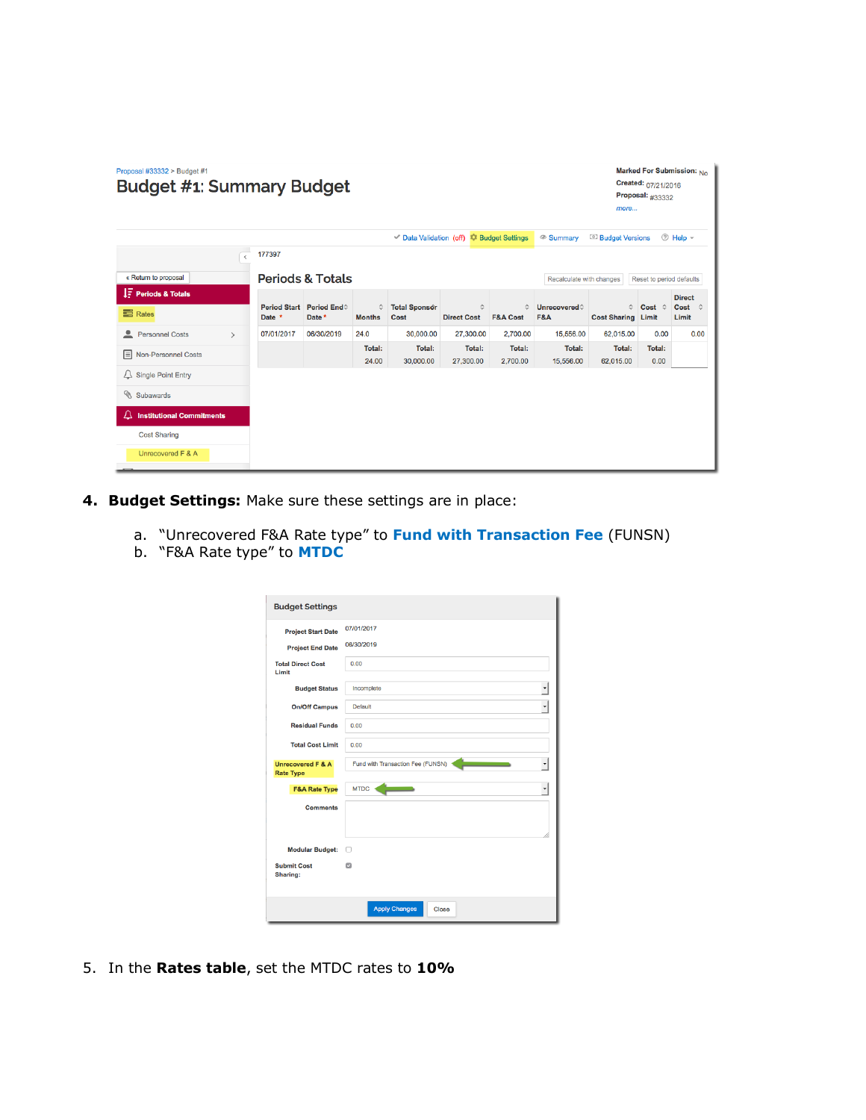| Marked For Submission: No<br>Proposal #33332 > Budget #1<br>Created: 07/21/2016<br><b>Budget #1: Summary Budget</b><br>Proposal: $\#33332$<br>more |               |            |                                   |                    |                              |                         |                                         |                               |                                        |                          |                    |
|----------------------------------------------------------------------------------------------------------------------------------------------------|---------------|------------|-----------------------------------|--------------------|------------------------------|-------------------------|-----------------------------------------|-------------------------------|----------------------------------------|--------------------------|--------------------|
|                                                                                                                                                    |               |            |                                   |                    |                              |                         | Data Validation (off) C Budget Settings | <sup>®</sup> Summary          | <sup>1</sup> Budget Versions           |                          | telp –             |
|                                                                                                                                                    | $\langle$     | 177397     |                                   |                    |                              |                         |                                         |                               |                                        |                          |                    |
| « Return to proposal                                                                                                                               |               |            | <b>Periods &amp; Totals</b>       |                    |                              |                         |                                         | Recalculate with changes      |                                        | Reset to period defaults |                    |
| <b>F</b> Periods & Totals                                                                                                                          |               |            |                                   |                    |                              |                         |                                         |                               |                                        |                          | <b>Direct</b>      |
| <b>三</b> Rates                                                                                                                                     |               | Date *     | Period Start Period End<br>Date * | ≎<br><b>Months</b> | <b>Total Sponsor</b><br>Cost | ≎<br><b>Direct Cost</b> | ≎<br><b>F&amp;A Cost</b>                | Unrecovered<br><b>F&amp;A</b> | $\hat{C}$<br><b>Cost Sharing Limit</b> | $Cost$ $\hat{C}$         | Cost<br>≎<br>Limit |
| <b>Personnel Costs</b>                                                                                                                             | $\rightarrow$ | 07/01/2017 | 06/30/2019                        | 24.0               | 30,000.00                    | 27,300.00               | 2,700.00                                | 15,556.00                     | 62,015.00                              | 0.00                     | 0.00               |
| <b>E</b> Non-Personnel Costs                                                                                                                       |               |            |                                   | Total:             | Total:                       | Total:                  | Total:                                  | Total:                        | <b>Total:</b>                          | Total:                   |                    |
| $\triangle$ Single Point Entry                                                                                                                     |               |            |                                   | 24.00              | 30,000,00                    | 27,300.00               | 2,700.00                                | 15,556.00                     | 62.015.00                              | 0.00                     |                    |
| Subawards                                                                                                                                          |               |            |                                   |                    |                              |                         |                                         |                               |                                        |                          |                    |
| <b>Institutional Commitments</b><br>Д                                                                                                              |               |            |                                   |                    |                              |                         |                                         |                               |                                        |                          |                    |
| <b>Cost Sharing</b>                                                                                                                                |               |            |                                   |                    |                              |                         |                                         |                               |                                        |                          |                    |
| Unrecovered F & A                                                                                                                                  |               |            |                                   |                    |                              |                         |                                         |                               |                                        |                          |                    |

- **4. Budget Settings:** Make sure these settings are in place:
	- a. "Unrecovered F&A Rate type" to **Fund with Transaction Fee** (FUNSN)
	- b. "F&A Rate type" to **MTDC**

| <b>Budget Settings</b>                |                                                           |
|---------------------------------------|-----------------------------------------------------------|
| <b>Project Start Date</b>             | 07/01/2017                                                |
| <b>Project End Date</b>               | 06/30/2019                                                |
| <b>Total Direct Cost</b><br>Limit     | 0.00                                                      |
| <b>Budget Status</b>                  | Incomplete                                                |
| <b>On/Off Campus</b>                  | $\ddot{\phantom{1}}$<br><b>Default</b>                    |
| <b>Residual Funds</b>                 | 0.00                                                      |
| <b>Total Cost Limit</b>               | 0.00                                                      |
| Unrecovered F & A<br><b>Rate Type</b> | Fund with Transaction Fee (FUNSN)<br>$\blacktriangledown$ |
| <b>F&amp;A Rate Type</b>              | <b>MTDC</b><br>$\blacktriangledown$                       |
| <b>Comments</b>                       |                                                           |
| <b>Modular Budget:</b>                | n                                                         |
| <b>Submit Cost</b><br><b>Sharing:</b> | $\overline{\mathbf{z}}$                                   |
|                                       | <b>Apply Changes</b><br>Close                             |

5. In the **Rates table**, set the MTDC rates to **10%**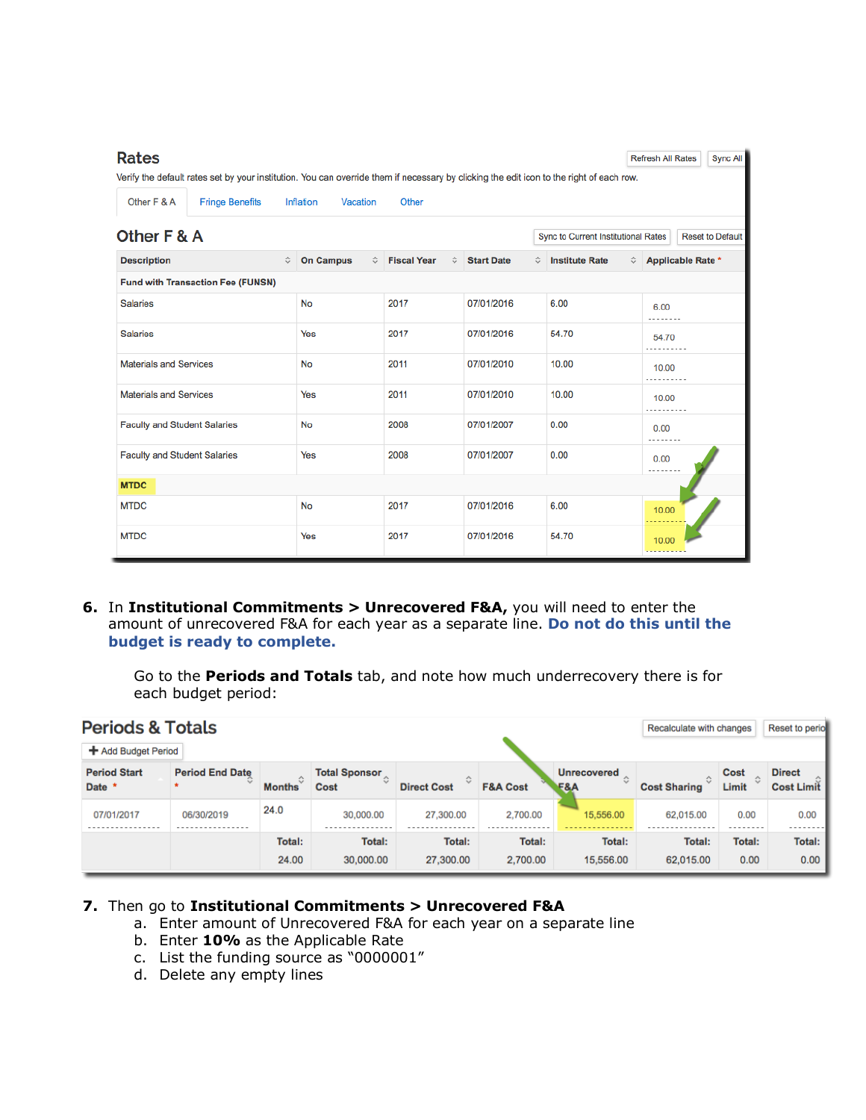| <b>Rates</b>                                                                                                                             |                       |                         |                        |                                     | <b>Refresh All Rates</b>      | <b>Sync All</b>         |  |  |
|------------------------------------------------------------------------------------------------------------------------------------------|-----------------------|-------------------------|------------------------|-------------------------------------|-------------------------------|-------------------------|--|--|
| Verify the default rates set by your institution. You can override them if necessary by clicking the edit icon to the right of each row. |                       |                         |                        |                                     |                               |                         |  |  |
| Other F & A<br><b>Fringe Benefits</b>                                                                                                    | Inflation<br>Vacation | Other                   |                        |                                     |                               |                         |  |  |
| Other F & A                                                                                                                              |                       |                         |                        | Sync to Current Institutional Rates |                               | <b>Reset to Default</b> |  |  |
| ≎<br><b>Description</b>                                                                                                                  | <b>On Campus</b><br>≎ | <b>Fiscal Year</b><br>≎ | <b>Start Date</b><br>≎ | <b>Institute Rate</b>               | ≎<br><b>Applicable Rate *</b> |                         |  |  |
| <b>Fund with Transaction Fee (FUNSN)</b>                                                                                                 |                       |                         |                        |                                     |                               |                         |  |  |
| <b>Salaries</b>                                                                                                                          | <b>No</b>             | 2017                    | 07/01/2016             | 6.00                                | 6.00<br>.                     |                         |  |  |
| <b>Salaries</b>                                                                                                                          | Yes                   | 2017                    | 07/01/2016             | 54.70                               | 54.70<br>.                    |                         |  |  |
| <b>Materials and Services</b>                                                                                                            | <b>No</b>             | 2011                    | 07/01/2010             | 10.00                               | 10.00                         |                         |  |  |
| <b>Materials and Services</b>                                                                                                            | Yes                   | 2011                    | 07/01/2010             | 10.00                               | 10.00<br>.                    |                         |  |  |
| <b>Faculty and Student Salaries</b>                                                                                                      | No                    | 2008                    | 07/01/2007             | 0.00                                | 0.00<br>.                     |                         |  |  |
| <b>Faculty and Student Salaries</b>                                                                                                      | Yes                   | 2008<br>07/01/2007      |                        | 0.00                                | 0.00<br>.                     |                         |  |  |
| <b>MTDC</b>                                                                                                                              |                       |                         |                        |                                     |                               |                         |  |  |
| <b>MTDC</b>                                                                                                                              | No                    | 2017                    | 07/01/2016             | 6.00                                | 10.00                         |                         |  |  |
| <b>MTDC</b>                                                                                                                              | Yes                   | 2017                    | 07/01/2016             | 54.70                               | 10.00                         |                         |  |  |

**6.** In **Institutional Commitments > Unrecovered F&A,** you will need to enter the amount of unrecovered F&A for each year as a separate line. **Do not do this until the budget is ready to complete.**

Go to the **Periods and Totals** tab, and note how much underrecovery there is for each budget period:

| <b>Periods &amp; Totals</b>   | Recalculate with changes |               | Reset to periol                   |                    |                     |                                                             |                                            |                              |                                    |  |
|-------------------------------|--------------------------|---------------|-----------------------------------|--------------------|---------------------|-------------------------------------------------------------|--------------------------------------------|------------------------------|------------------------------------|--|
| + Add Budget Period           |                          |               |                                   |                    |                     |                                                             |                                            |                              |                                    |  |
| <b>Period Start</b><br>Date * | <b>Period End Date</b>   | <b>Months</b> | <b>Total Sponsor</b><br>≎<br>Cost | <b>Direct Cost</b> | <b>F&amp;A Cost</b> | <b>Unrecovered</b><br>$\lambda$<br>$\sim$<br><b>F&amp;A</b> | $\lambda$<br>$\sim$<br><b>Cost Sharing</b> | Cost<br>ᄉ<br>$\sim$<br>Limit | <b>Direct</b><br><b>Cost Limit</b> |  |
| 07/01/2017                    | 06/30/2019               | 24.0          | 30,000.00                         | 27,300.00          | 2,700.00            | 15,556.00                                                   | 62,015.00                                  | 0.00                         | 0.00                               |  |
|                               |                          | Total:        | Total:                            | Total:             | Total:              | Total:                                                      | Total:                                     | Total:                       | Total:                             |  |
|                               |                          | 24.00         | 30,000.00                         | 27,300.00          | 2,700.00            | 15,556,00                                                   | 62,015.00                                  | 0.00                         | 0.00                               |  |

## **7.** Then go to **Institutional Commitments > Unrecovered F&A**

- a. Enter amount of Unrecovered F&A for each year on a separate line
- b. Enter **10%** as the Applicable Rate
- c. List the funding source as "0000001"
- d. Delete any empty lines